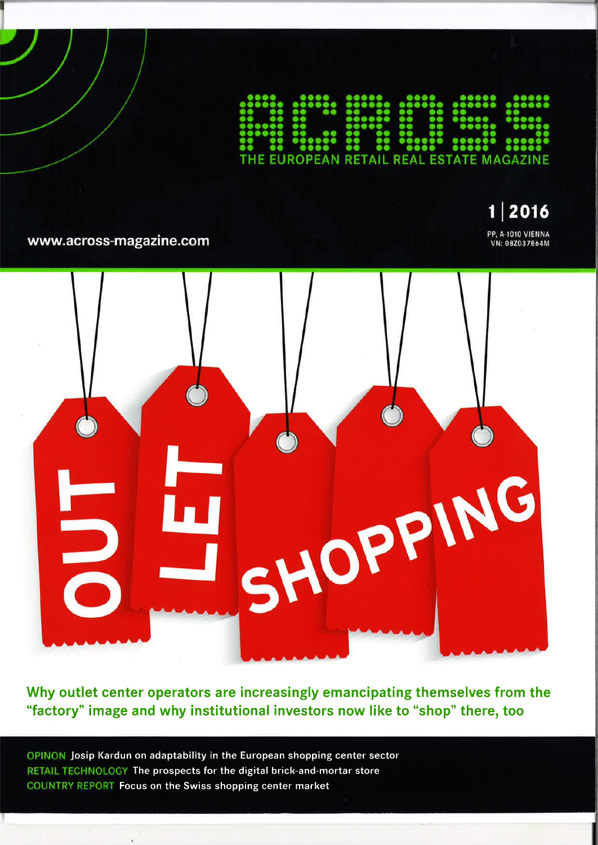**EUROPEAN RETAIL REAL ESTATE MAGAZINE** 

2016 1 PP, A-1010 VIENNA<br>VN: 08Z037864M

www.across-magazine.com



Why outlet center operators are increasingly emancipating themselves from the "factory" image and why institutional investors now like to "shop" there, too

OPINON Josip Kardun on adaptability in the European shopping center sector RETAIL TECHNOLOGY The prospects for the digital brick-and-mortar store COUNTRY REPORT Focus on the Swiss shopping center market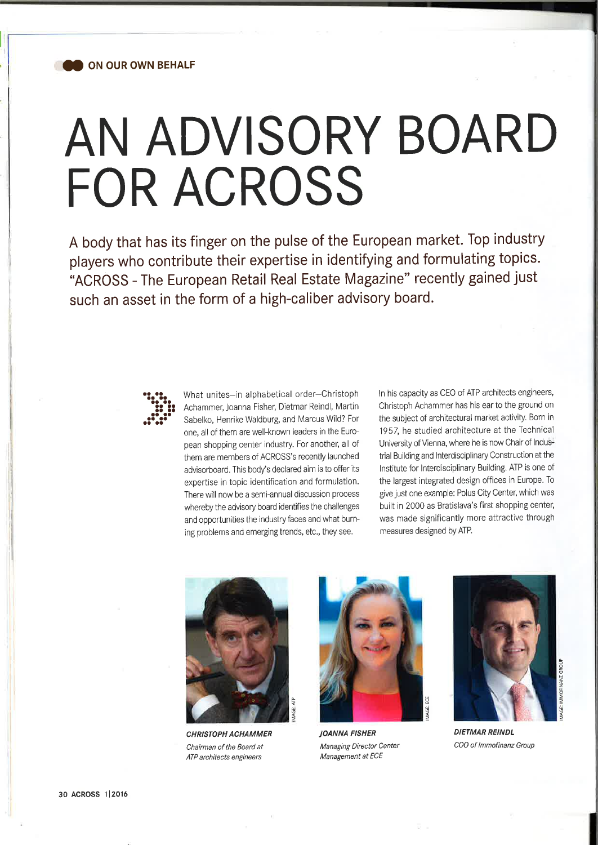

## AN ADVISORY BOARD FOR ACROSS

A body that has its finger on the pulse of the European market. Top industry players who contribute their expertise in identifying and formulating topics. "ACROSS - The European Retail Real Estate Magazine" recently gained just such an asset in the form of a high-caliber advisory board.



What unites-in alphabetical order-Christoph Achammer, Joanna Fisher, Dietmar Reindl, Martin Sabelko, Henrike Waldburg, and Marcus Wild? For one, all of them are well-known leaders in the European shopping center industry. For another, all of them are members of ACROSS's recently launched advisorboard. This body's declared aim is to offer its expertise in topic identification and formulation. There will now be a semi-annual discussion process whereby the advisory board identifies the challenges and opportunities the industry faces and what burning problems and emerging trends, etc., they see.

ln his capacity as CEO of ATP architects engineers, Christoph Achammer has his ear to the ground on the subject of architectural market activity. Born in 1952 he studied architecture at the Technical University of Vienna, where he is now Chair of lndustrial Building and lnterdisciplinary Construction at the lnstitute for lnterdisciplinary Building. ATP is one of the largest integrated design offices in Europe. To give just one example: Polus City Center, which was built in 2000 as Bratislava's first shopping center, was made significantly more attractive through measures designed by ATP.



CHRISTOPH ACHAMMER Chairman of the Board at ATP architects engineers



JOANNA FISHER Managing Director Center Management at ECE



DIETMAR REINDL COO of lmnofinanz Group